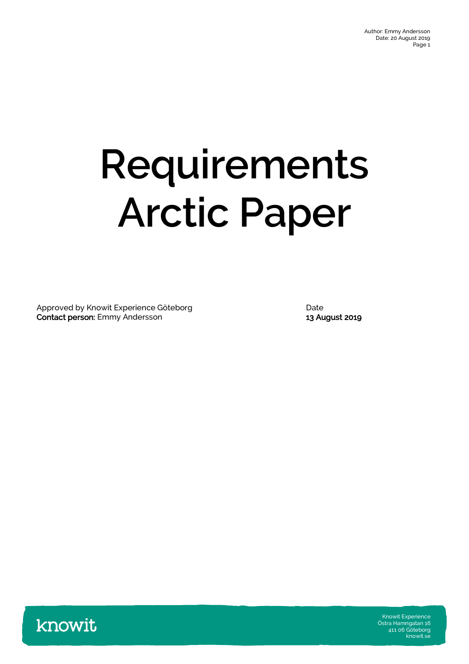# **Requirements Arctic Paper**

Approved by Knowit Experience Göteborg Date Date **Contact person:** Emmy Andersson 13 August 2019



Knowit Experience Östra Hamngatan 16 411 06 Göteborg knowit.se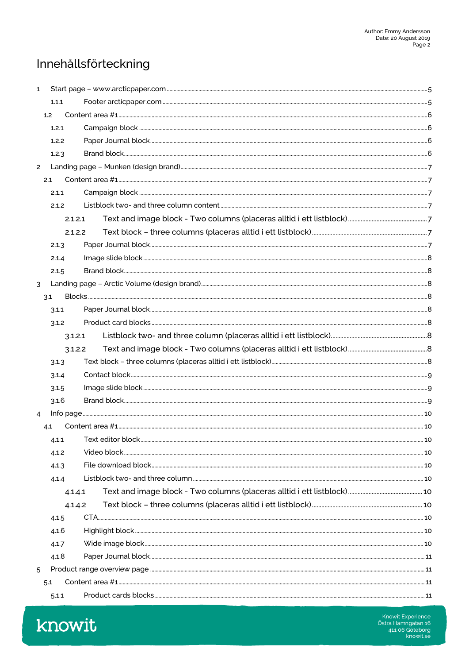# Innehållsförteckning

| $\mathbf{1}$   |       |         |  |
|----------------|-------|---------|--|
|                | 1.1.1 |         |  |
|                | 1.2   |         |  |
|                | 1.2.1 |         |  |
|                | 1.2.2 |         |  |
|                | 1.2.3 |         |  |
| $\overline{2}$ |       |         |  |
|                | 2.1   |         |  |
|                | 2.1.1 |         |  |
|                | 2.1.2 |         |  |
|                |       | 2.1.2.1 |  |
|                |       | 2.1.2.2 |  |
|                | 2.1.3 |         |  |
|                | 2.1.4 |         |  |
|                | 2.1.5 |         |  |
| 3              |       |         |  |
|                | 3.1   |         |  |
|                | 3.1.1 |         |  |
|                | 3.1.2 |         |  |
|                |       | 3.1.2.1 |  |
|                |       | 3.1.2.2 |  |
|                | 3.1.3 |         |  |
|                | 3.1.4 |         |  |
|                | 3.1.5 |         |  |
|                | 3.1.6 |         |  |
| $\overline{4}$ |       |         |  |
|                | 4.1   |         |  |
|                | 4.1.1 |         |  |
|                | 4.1.2 |         |  |
|                | 4.1.3 |         |  |
|                | 4.1.4 |         |  |
|                |       | 4.1.4.1 |  |
|                |       | 4.1.4.2 |  |
|                | 4.1.5 |         |  |
|                | 4.1.6 |         |  |
|                | 4.1.7 |         |  |
|                | 4.1.8 |         |  |
| 5              |       |         |  |
|                | 5.1   |         |  |
|                | 5.1.1 |         |  |

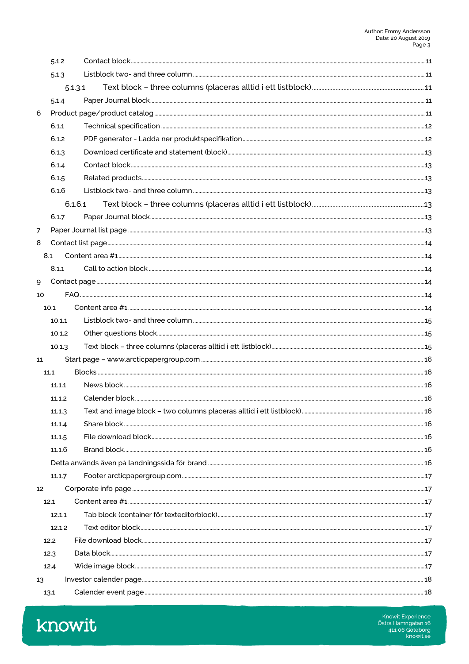|                | 5.1.2  |         |  |
|----------------|--------|---------|--|
|                | 5.1.3  |         |  |
|                |        | 5.1.3.1 |  |
|                | 5.1.4  |         |  |
| 6              |        |         |  |
|                | 6.1.1  |         |  |
|                | 6.1.2  |         |  |
|                | 6.1.3  |         |  |
|                | 6.1.4  |         |  |
|                | 6.1.5  |         |  |
|                | 6.1.6  |         |  |
|                |        | 6.1.6.1 |  |
|                | 6.1.7  |         |  |
| $\overline{7}$ |        |         |  |
| 8              |        |         |  |
|                | 8.1    |         |  |
|                | 8.1.1  |         |  |
| 9              |        |         |  |
| 10             |        |         |  |
|                | 10.1   |         |  |
|                | 10.1.1 |         |  |
|                | 10.1.2 |         |  |
|                | 10.1.3 |         |  |
| 11             |        |         |  |
|                | 11.1   |         |  |
|                | 11.1.1 |         |  |
|                | 11.1.2 |         |  |
|                | 11.1.3 |         |  |
|                | 11.1.4 |         |  |
|                | 11.1.5 |         |  |
|                | 11.1.6 |         |  |
|                |        |         |  |
|                | 11.1.7 |         |  |
| 12             |        |         |  |
|                | 12.1   |         |  |
|                | 12.1.1 |         |  |
|                | 12.1.2 |         |  |
|                | 12.2   |         |  |
|                | 12.3   |         |  |
|                | 12.4   |         |  |
| 13             |        |         |  |
|                | 13.1   |         |  |

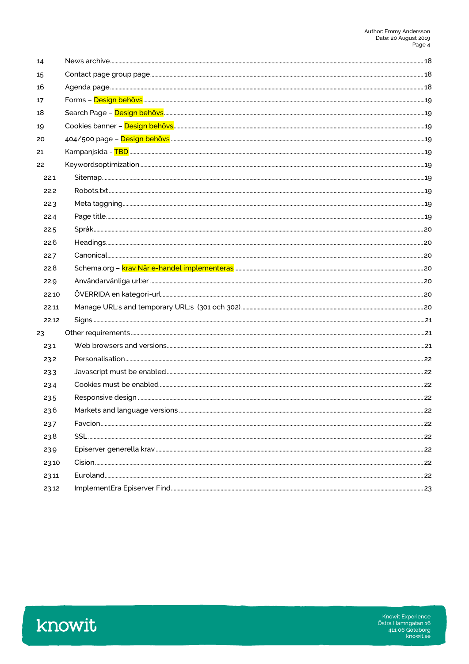| 14    |  |
|-------|--|
| 15    |  |
| 16    |  |
| 17    |  |
| 18    |  |
| 19    |  |
| 20    |  |
| 21    |  |
| 22    |  |
| 22.1  |  |
| 22.2  |  |
| 22.3  |  |
| 22.4  |  |
| 22.5  |  |
| 22.6  |  |
| 22.7  |  |
| 22.8  |  |
| 22.9  |  |
| 22.10 |  |
| 22.11 |  |
| 22.12 |  |
| 23    |  |
| 23.1  |  |
| 23.2  |  |
| 23.3  |  |
|       |  |
| 23.4  |  |
| 23.5  |  |
| 23.6  |  |
| 23.7  |  |
| 23.8  |  |
| 23.9  |  |
| 23.10 |  |
| 23.11 |  |

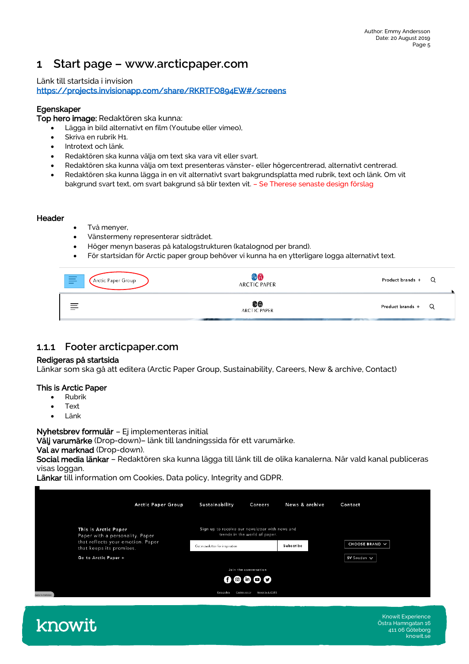# <span id="page-4-0"></span>1 Start page – www.arcticpaper.com

#### Länk till startsida i invision

<https://projects.invisionapp.com/share/RKRTFO894EW#/screens>

#### **Egenskaper**

Top hero image: Redaktören ska kunna:

- Lägga in bild alternativt en film (Youtube eller vimeo),
- Skriva en rubrik H1.
- Introtext och länk.
- Redaktören ska kunna välja om text ska vara vit eller svart.
- Redaktören ska kunna välja om text presenteras vänster- eller högercentrerad, alternativt centrerad.
- Redaktören ska kunna lägga in en vit alternativt svart bakgrundsplatta med rubrik, text och länk. Om vit bakgrund svart text, om svart bakgrund så blir texten vit. – Se Therese senaste design förslag

#### Header

- Två menyer,
- Vänstermeny representerar sidträdet.
- Höger menyn baseras på katalogstrukturen (katalognod per brand).
- För startsidan för Arctic paper group behöver vi kunna ha en ytterligare logga alternativt text.

| E        | Arctic Paper Group<br><b>ARCTIC PAPER</b> | Product brands + |       |
|----------|-------------------------------------------|------------------|-------|
| $\equiv$ | 00                                        | Product brands + | Q     |
|          | <b>ARCTIC PAPER</b>                       | _____            | _____ |

# <span id="page-4-1"></span>1.1.1 Footer arcticpaper.com

#### Redigeras på startsida

Länkar som ska gå att editera (Arctic Paper Group, Sustainability, Careers, New & archive, Contact)

#### This is Arctic Paper

- Rubrik
- **Text**
- Länk

knowit

Nyhetsbrev formulär – Ej implementeras initial

Välj varumärke (Drop-down)– länk till landningssida för ett varumärke.

#### Val av marknad (Drop-down).

Social media länkar - Redaktören ska kunna lägga till länk till de olika kanalerna. När vald kanal publiceras visas loggan.

Länkar till information om Cookies, Data policy, Integrity and GDPR.

|                  |                                                                                              | Arctic Paper Group | Sustainability                                  | Careers                       | News & archive | Contact        |                                                                                                                |
|------------------|----------------------------------------------------------------------------------------------|--------------------|-------------------------------------------------|-------------------------------|----------------|----------------|----------------------------------------------------------------------------------------------------------------|
|                  | This is Arctic Paper<br>Paper with a personality. Paper<br>that reflects your emotion. Paper |                    | Sign up to receive our newsletter with news and | trends in the world of paper. |                |                |                                                                                                                |
|                  | that keeps its promises.                                                                     |                    | Get newsletter for inspiration                  |                               | Subscribe      | CHOOSE BRAND V |                                                                                                                |
|                  | Go to Arctic Paper +                                                                         |                    |                                                 |                               |                | SV Sweden v    |                                                                                                                |
|                  |                                                                                              |                    |                                                 | Join the conversation         |                |                |                                                                                                                |
|                  |                                                                                              |                    |                                                 | 0@@@                          |                |                |                                                                                                                |
| Made in InVision |                                                                                              |                    | Data policy<br>Cookie policy                    | Integrity & CDPR              |                |                |                                                                                                                |
|                  |                                                                                              |                    |                                                 |                               |                |                |                                                                                                                |
|                  |                                                                                              |                    |                                                 |                               |                |                | the property of the property of the control of the control of the control of the control of the control of the |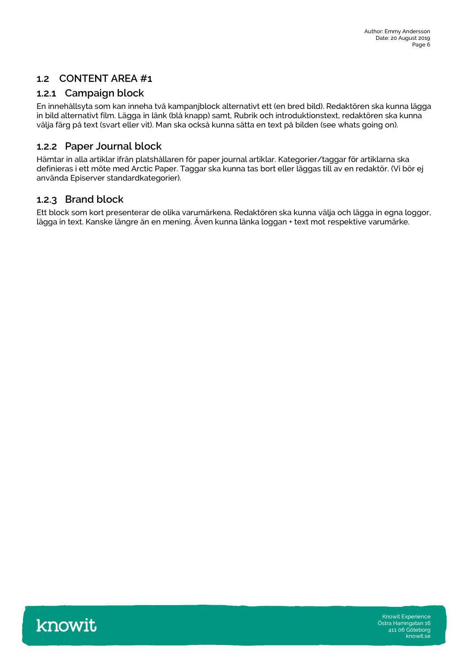# <span id="page-5-0"></span>1.2 CONTENT AREA #1

### <span id="page-5-1"></span>1.2.1 Campaign block

En innehållsyta som kan inneha två kampanjblock alternativt ett (en bred bild). Redaktören ska kunna lägga in bild alternativt film. Lägga in länk (blå knapp) samt, Rubrik och introduktionstext, redaktören ska kunna välja färg på text (svart eller vit). Man ska också kunna sätta en text på bilden (see whats going on).

### <span id="page-5-2"></span>1.2.2 Paper Journal block

Hämtar in alla artiklar ifrån platshållaren för paper journal artiklar. Kategorier/taggar för artiklarna ska definieras i ett möte med Arctic Paper. Taggar ska kunna tas bort eller läggas till av en redaktör. (Vi bör ej använda Episerver standardkategorier).

### <span id="page-5-3"></span>1.2.3 Brand block

Ett block som kort presenterar de olika varumärkena. Redaktören ska kunna välja och lägga in egna loggor, lägga in text. Kanske längre än en mening. Även kunna länka loggan + text mot respektive varumärke.

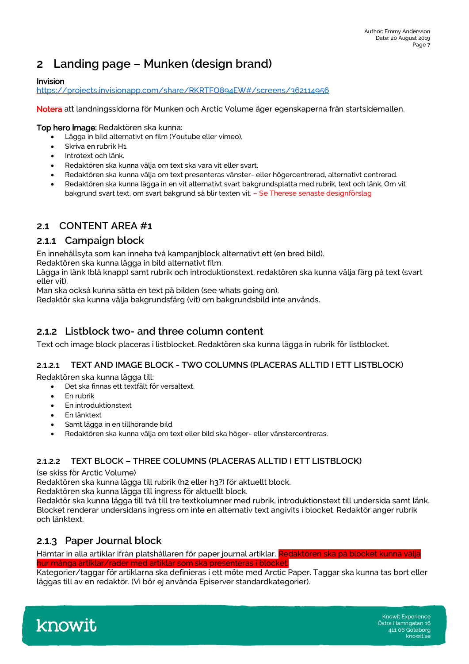# <span id="page-6-0"></span>2 Landing page – Munken (design brand)

#### Invision

<https://projects.invisionapp.com/share/RKRTFO894EW#/screens/362114956>

Notera att landningssidorna för Munken och Arctic Volume äger egenskaperna från startsidemallen.

Top hero image: Redaktören ska kunna:

- Lägga in bild alternativt en film (Youtube eller vimeo),
- Skriva en rubrik H1.
- Introtext och länk.
- Redaktören ska kunna välja om text ska vara vit eller svart.
- Redaktören ska kunna välja om text presenteras vänster- eller högercentrerad, alternativt centrerad.
- Redaktören ska kunna lägga in en vit alternativt svart bakgrundsplatta med rubrik, text och länk. Om vit bakgrund svart text, om svart bakgrund så blir texten vit. – Se Therese senaste designförslag

# <span id="page-6-1"></span>2.1 CONTENT AREA #1

### <span id="page-6-2"></span>2.1.1 Campaign block

En innehållsyta som kan inneha två kampanjblock alternativt ett (en bred bild).

Redaktören ska kunna lägga in bild alternativt film.

Lägga in länk (blå knapp) samt rubrik och introduktionstext, redaktören ska kunna välja färg på text (svart eller vit).

Man ska också kunna sätta en text på bilden (see whats going on).

Redaktör ska kunna välja bakgrundsfärg (vit) om bakgrundsbild inte används.

### <span id="page-6-3"></span>2.1.2 Listblock two- and three column content

Text och image block placeras i listblocket. Redaktören ska kunna lägga in rubrik för listblocket.

#### <span id="page-6-4"></span>2.1.2.1 TEXT AND IMAGE BLOCK - TWO COLUMNS (PLACERAS ALLTID I ETT LISTBLOCK)

Redaktören ska kunna lägga till:

- Det ska finnas ett textfält för versaltext.
- En rubrik
- En introduktionstext
- En länktext
- Samt lägga in en tillhörande bild
- Redaktören ska kunna välja om text eller bild ska höger- eller vänstercentreras.

#### <span id="page-6-5"></span>2.1.2.2 TEXT BLOCK – THREE COLUMNS (PLACERAS ALLTID I ETT LISTBLOCK)

(se skiss för Arctic Volume)

Redaktören ska kunna lägga till rubrik (h2 eller h3?) för aktuellt block.

Redaktören ska kunna lägga till ingress för aktuellt block.

Redaktör ska kunna lägga till två till tre textkolumner med rubrik, introduktionstext till undersida samt länk. Blocket renderar undersidans ingress om inte en alternativ text angivits i blocket. Redaktör anger rubrik och länktext.

### <span id="page-6-6"></span>2.1.3 Paper Journal block

Hämtar in alla artiklar ifrån platshållaren för paper journal artiklar. Redaktören ska på blocket kunna välja hur många artiklar/rader med artiklar som ska presenteras i blocket.

Kategorier/taggar för artiklarna ska definieras i ett möte med Arctic Paper. Taggar ska kunna tas bort eller läggas till av en redaktör. (Vi bör ej använda Episerver standardkategorier).

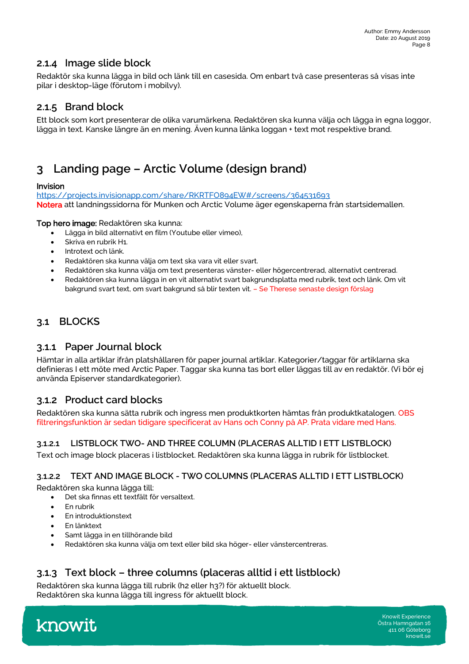### <span id="page-7-0"></span>2.1.4 Image slide block

Redaktör ska kunna lägga in bild och länk till en casesida. Om enbart två case presenteras så visas inte pilar i desktop-läge (förutom i mobilvy).

### <span id="page-7-1"></span>2.1.5 Brand block

Ett block som kort presenterar de olika varumärkena. Redaktören ska kunna välja och lägga in egna loggor, lägga in text. Kanske längre än en mening. Även kunna länka loggan + text mot respektive brand.

# <span id="page-7-2"></span>3 Landing page – Arctic Volume (design brand)

#### Invision

<https://projects.invisionapp.com/share/RKRTFO894EW#/screens/364531693> Notera att landningssidorna för Munken och Arctic Volume äger egenskaperna från startsidemallen.

- Top hero image: Redaktören ska kunna:
	- Lägga in bild alternativt en film (Youtube eller vimeo),
	- Skriva en rubrik H1.
	- Introtext och länk.
	- Redaktören ska kunna välja om text ska vara vit eller svart.
	- Redaktören ska kunna välja om text presenteras vänster- eller högercentrerad, alternativt centrerad.
	- Redaktören ska kunna lägga in en vit alternativt svart bakgrundsplatta med rubrik, text och länk. Om vit bakgrund svart text, om svart bakgrund så blir texten vit. – Se Therese senaste design förslag

# <span id="page-7-3"></span>3.1 BLOCKS

### <span id="page-7-4"></span>3.1.1 Paper Journal block

Hämtar in alla artiklar ifrån platshållaren för paper journal artiklar. Kategorier/taggar för artiklarna ska definieras I ett möte med Arctic Paper. Taggar ska kunna tas bort eller läggas till av en redaktör. (Vi bör ej använda Episerver standardkategorier).

### <span id="page-7-5"></span>3.1.2 Product card blocks

Redaktören ska kunna sätta rubrik och ingress men produktkorten hämtas från produktkatalogen. OBS filtreringsfunktion är sedan tidigare specificerat av Hans och Conny på AP. Prata vidare med Hans.

### <span id="page-7-6"></span>3.1.2.1 LISTBLOCK TWO- AND THREE COLUMN (PLACERAS ALLTID I ETT LISTBLOCK)

Text och image block placeras i listblocket. Redaktören ska kunna lägga in rubrik för listblocket.

### <span id="page-7-7"></span>3.1.2.2 TEXT AND IMAGE BLOCK - TWO COLUMNS (PLACERAS ALLTID I ETT LISTBLOCK)

Redaktören ska kunna lägga till:

- Det ska finnas ett textfält för versaltext.
- En rubrik
- En introduktionstext
- En länktext
- Samt lägga in en tillhörande bild
- Redaktören ska kunna välja om text eller bild ska höger- eller vänstercentreras.

# <span id="page-7-8"></span>3.1.3 Text block – three columns (placeras alltid i ett listblock)

Redaktören ska kunna lägga till rubrik (h2 eller h3?) för aktuellt block. Redaktören ska kunna lägga till ingress för aktuellt block.

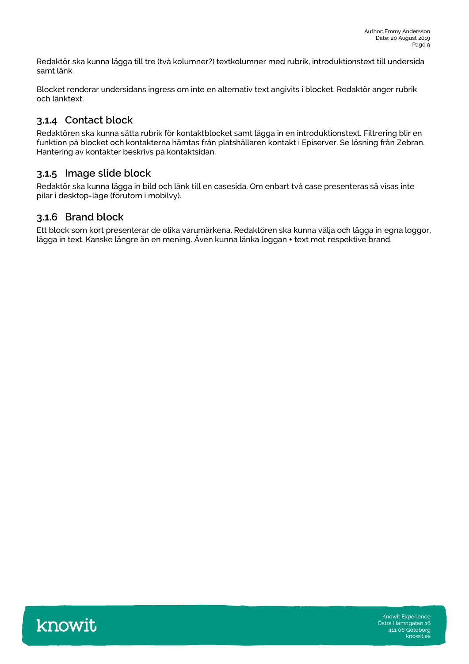Redaktör ska kunna lägga till tre (två kolumner?) textkolumner med rubrik, introduktionstext till undersida samt länk.

Blocket renderar undersidans ingress om inte en alternativ text angivits i blocket. Redaktör anger rubrik och länktext.

# <span id="page-8-0"></span>3.1.4 Contact block

Redaktören ska kunna sätta rubrik för kontaktblocket samt lägga in en introduktionstext. Filtrering blir en funktion på blocket och kontakterna hämtas från platshållaren kontakt i Episerver. Se lösning från Zebran. Hantering av kontakter beskrivs på kontaktsidan.

# <span id="page-8-1"></span>3.1.5 Image slide block

Redaktör ska kunna lägga in bild och länk till en casesida. Om enbart två case presenteras så visas inte pilar i desktop-läge (förutom i mobilvy).

### <span id="page-8-2"></span>3.1.6 Brand block

Ett block som kort presenterar de olika varumärkena. Redaktören ska kunna välja och lägga in egna loggor, lägga in text. Kanske längre än en mening. Även kunna länka loggan + text mot respektive brand.

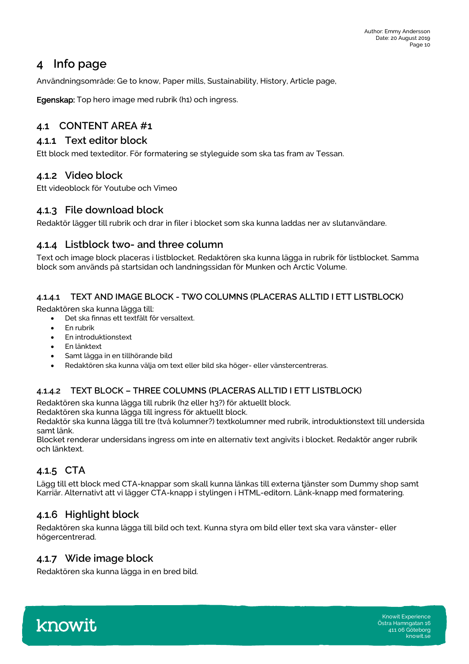# <span id="page-9-0"></span>4 Info page

Användningsområde: Ge to know, Paper mills, Sustainability, History, Article page,

Egenskap: Top hero image med rubrik (h1) och ingress.

# <span id="page-9-1"></span>4.1 CONTENT AREA #1

### <span id="page-9-2"></span>4.1.1 Text editor block

Ett block med texteditor. För formatering se styleguide som ska tas fram av Tessan.

### <span id="page-9-3"></span>4.1.2 Video block

Ett videoblock för Youtube och Vimeo

### <span id="page-9-4"></span>4.1.3 File download block

Redaktör lägger till rubrik och drar in filer i blocket som ska kunna laddas ner av slutanvändare.

# <span id="page-9-5"></span>4.1.4 Listblock two- and three column

Text och image block placeras i listblocket. Redaktören ska kunna lägga in rubrik för listblocket. Samma block som används på startsidan och landningssidan för Munken och Arctic Volume.

### <span id="page-9-6"></span>4.1.4.1 TEXT AND IMAGE BLOCK - TWO COLUMNS (PLACERAS ALLTID I ETT LISTBLOCK)

Redaktören ska kunna lägga till:

- Det ska finnas ett textfält för versaltext.
- En rubrik
- En introduktionstext
- En länktext
- Samt lägga in en tillhörande bild
- Redaktören ska kunna välja om text eller bild ska höger- eller vänstercentreras.

### <span id="page-9-7"></span>4.1.4.2 TEXT BLOCK – THREE COLUMNS (PLACERAS ALLTID I ETT LISTBLOCK)

Redaktören ska kunna lägga till rubrik (h2 eller h3?) för aktuellt block.

Redaktören ska kunna lägga till ingress för aktuellt block.

Redaktör ska kunna lägga till tre (två kolumner?) textkolumner med rubrik, introduktionstext till undersida samt länk.

Blocket renderar undersidans ingress om inte en alternativ text angivits i blocket. Redaktör anger rubrik och länktext.

# <span id="page-9-8"></span>4.1.5 CTA

Lägg till ett block med CTA-knappar som skall kunna länkas till externa tjänster som Dummy shop samt Karriär. Alternativt att vi lägger CTA-knapp i stylingen i HTML-editorn. Länk-knapp med formatering.

# <span id="page-9-9"></span>4.1.6 Highlight block

Redaktören ska kunna lägga till bild och text. Kunna styra om bild eller text ska vara vänster- eller högercentrerad.

# <span id="page-9-10"></span>4.1.7 Wide image block

Redaktören ska kunna lägga in en bred bild.

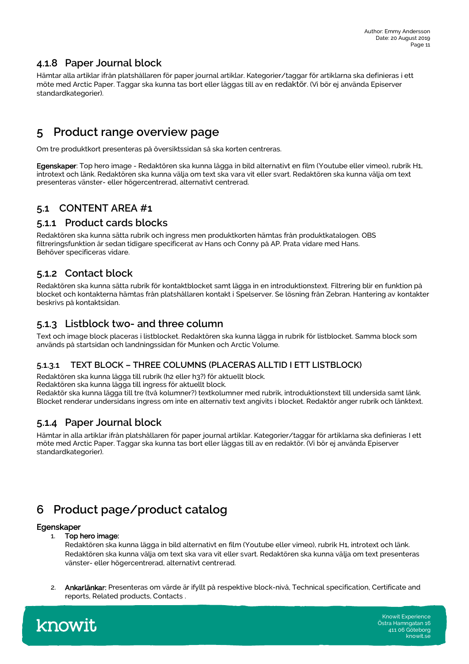# <span id="page-10-0"></span>4.1.8 Paper Journal block

Hämtar alla artiklar ifrån platshållaren för paper journal artiklar. Kategorier/taggar för artiklarna ska definieras i ett möte med Arctic Paper. Taggar ska kunna tas bort eller läggas till av en redaktör. (Vi bör ej använda Episerver standardkategorier).

# <span id="page-10-1"></span>5 Product range overview page

Om tre produktkort presenteras på översiktssidan så ska korten centreras.

Egenskaper: Top hero image - Redaktören ska kunna lägga in bild alternativt en film (Youtube eller vimeo), rubrik H1, introtext och länk. Redaktören ska kunna välja om text ska vara vit eller svart. Redaktören ska kunna välja om text presenteras vänster- eller högercentrerad, alternativt centrerad.

# <span id="page-10-2"></span>5.1 CONTENT AREA #1

### <span id="page-10-3"></span>5.1.1 Product cards blocks

Redaktören ska kunna sätta rubrik och ingress men produktkorten hämtas från produktkatalogen. OBS filtreringsfunktion är sedan tidigare specificerat av Hans och Conny på AP. Prata vidare med Hans. Behöver specificeras vidare.

# <span id="page-10-4"></span>5.1.2 Contact block

Redaktören ska kunna sätta rubrik för kontaktblocket samt lägga in en introduktionstext. Filtrering blir en funktion på blocket och kontakterna hämtas från platshållaren kontakt i Spelserver. Se lösning från Zebran. Hantering av kontakter beskrivs på kontaktsidan.

# <span id="page-10-5"></span>5.1.3 Listblock two- and three column

Text och image block placeras i listblocket. Redaktören ska kunna lägga in rubrik för listblocket. Samma block som används på startsidan och landningssidan för Munken och Arctic Volume.

### <span id="page-10-6"></span>5.1.3.1 TEXT BLOCK – THREE COLUMNS (PLACERAS ALLTID I ETT LISTBLOCK)

Redaktören ska kunna lägga till rubrik (h2 eller h3?) för aktuellt block.

Redaktören ska kunna lägga till ingress för aktuellt block.

Redaktör ska kunna lägga till tre (två kolumner?) textkolumner med rubrik, introduktionstext till undersida samt länk. Blocket renderar undersidans ingress om inte en alternativ text angivits i blocket. Redaktör anger rubrik och länktext.

# <span id="page-10-7"></span>5.1.4 Paper Journal block

Hämtar in alla artiklar ifrån platshållaren för paper journal artiklar. Kategorier/taggar för artiklarna ska definieras I ett möte med Arctic Paper. Taggar ska kunna tas bort eller läggas till av en redaktör. (Vi bör ej använda Episerver standardkategorier).

# <span id="page-10-8"></span>6 Product page/product catalog

#### Egenskaper

#### 1. Top hero image:

Redaktören ska kunna lägga in bild alternativt en film (Youtube eller vimeo), rubrik H1, introtext och länk. Redaktören ska kunna välja om text ska vara vit eller svart. Redaktören ska kunna välja om text presenteras vänster- eller högercentrerad, alternativt centrerad.

2. Ankarlänkar: Presenteras om värde är ifyllt på respektive block-nivå, Technical specification, Certificate and reports, Related products, Contacts .

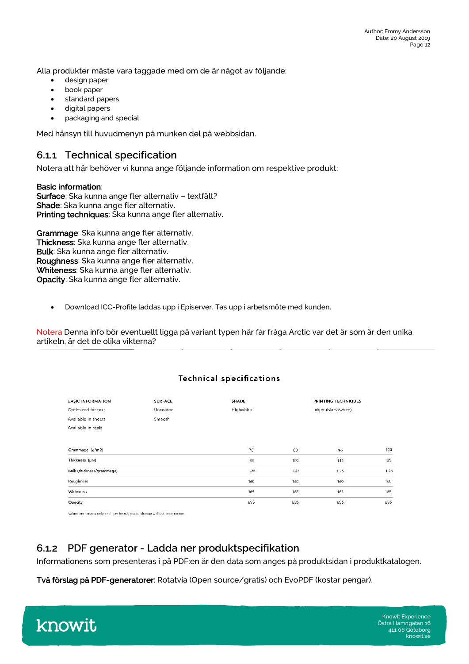Alla produkter måste vara taggade med om de är något av följande:

- design paper
- book paper
- standard papers
- digital papers
- packaging and special

Med hänsyn till huvudmenyn på munken del på webbsidan.

# <span id="page-11-0"></span>6.1.1 Technical specification

Notera att här behöver vi kunna ange följande information om respektive produkt:

#### Basic information:

Surface: Ska kunna ange fler alternativ – textfält? Shade: Ska kunna ange fler alternativ. Printing techniques: Ska kunna ange fler alternativ.

Grammage: Ska kunna ange fler alternativ. Thickness: Ska kunna ange fler alternativ. Bulk: Ska kunna ange fler alternativ. Roughness: Ska kunna ange fler alternativ. Whiteness: Ska kunna ange fler alternativ. Opacity: Ska kunna ange fler alternativ.

• Download ICC-Profile laddas upp i Episerver. Tas upp i arbetsmöte med kunden.

Notera Denna info bör eventuellt ligga på variant typen här får fråga Arctic var det är som är den unika artikeln, är det de olika vikterna?

| <b>BASIC INFORMATION</b>  | <b>SURFACE</b> | SHADE     |           | PRINTING TECHNIQUES  |           |
|---------------------------|----------------|-----------|-----------|----------------------|-----------|
| Optimized for text        | Uncoated       | Highwhite |           | Inkjet (black/white) |           |
| Available in sheets       | Smooth         |           |           |                      |           |
| Available in reels        |                |           |           |                      |           |
|                           |                |           |           |                      |           |
| Grammage (g/m2)           |                | 70        | 80        | 90                   | 100       |
| Thickness (um)            |                | 88        | 100       | 112                  | 125       |
| Bulk (thickness/grammage) |                | 1.25      | 1.25      | 1.25                 | 1.25      |
| Roughness                 |                | 160       | 160       | 160                  | 160       |
| Whiteness                 |                | 165       | 165       | 165                  | 165       |
| Opacity                   |                | $\geq 95$ | $\geq 95$ | $\geq 95$            | $\geq$ 95 |

#### **Technical specifications**

<span id="page-11-1"></span>Values are targets only and may be subject to change without prior notice

# 6.1.2 PDF generator - Ladda ner produktspecifikation

Informationens som presenteras i på PDF:en är den data som anges på produktsidan i produktkatalogen.

Två förslag på PDF-generatorer: Rotatvia (Open source/gratis) och EvoPDF (kostar pengar).

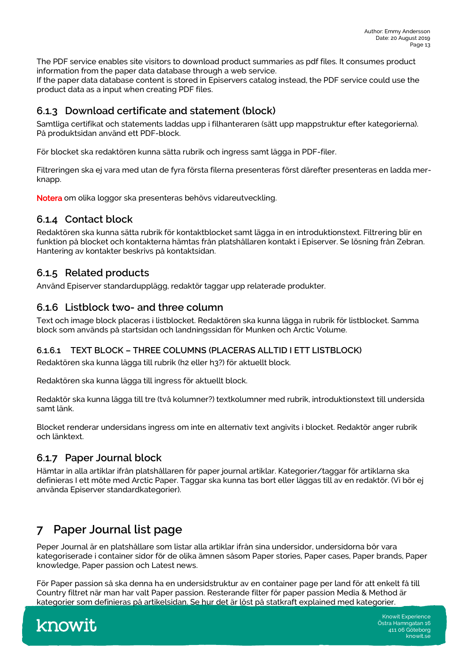The PDF service enables site visitors to download product summaries as pdf files. It consumes product information from the paper data database through a web service.

If the paper data database content is stored in Episervers catalog instead, the PDF service could use the product data as a input when creating PDF files.

### <span id="page-12-0"></span>6.1.3 Download certificate and statement (block)

Samtliga certifikat och statements laddas upp i filhanteraren (sätt upp mappstruktur efter kategorierna). På produktsidan använd ett PDF-block.

För blocket ska redaktören kunna sätta rubrik och ingress samt lägga in PDF-filer.

Filtreringen ska ej vara med utan de fyra första filerna presenteras först därefter presenteras en ladda merknapp.

Notera om olika loggor ska presenteras behövs vidareutveckling.

# <span id="page-12-1"></span>6.1.4 Contact block

Redaktören ska kunna sätta rubrik för kontaktblocket samt lägga in en introduktionstext. Filtrering blir en funktion på blocket och kontakterna hämtas från platshållaren kontakt i Episerver. Se lösning från Zebran. Hantering av kontakter beskrivs på kontaktsidan.

# <span id="page-12-2"></span>6.1.5 Related products

Använd Episerver standardupplägg, redaktör taggar upp relaterade produkter.

### <span id="page-12-3"></span>6.1.6 Listblock two- and three column

Text och image block placeras i listblocket. Redaktören ska kunna lägga in rubrik för listblocket. Samma block som används på startsidan och landningssidan för Munken och Arctic Volume.

### <span id="page-12-4"></span>6.1.6.1 TEXT BLOCK – THREE COLUMNS (PLACERAS ALLTID I ETT LISTBLOCK)

Redaktören ska kunna lägga till rubrik (h2 eller h3?) för aktuellt block.

Redaktören ska kunna lägga till ingress för aktuellt block.

Redaktör ska kunna lägga till tre (två kolumner?) textkolumner med rubrik, introduktionstext till undersida samt länk.

Blocket renderar undersidans ingress om inte en alternativ text angivits i blocket. Redaktör anger rubrik och länktext.

### <span id="page-12-5"></span>6.1.7 Paper Journal block

Hämtar in alla artiklar ifrån platshållaren för paper journal artiklar. Kategorier/taggar för artiklarna ska definieras I ett möte med Arctic Paper. Taggar ska kunna tas bort eller läggas till av en redaktör. (Vi bör ej använda Episerver standardkategorier).

# <span id="page-12-6"></span>7 Paper Journal list page

Peper Journal är en platshållare som listar alla artiklar ifrån sina undersidor, undersidorna bör vara kategoriserade i container sidor för de olika ämnen såsom Paper stories, Paper cases, Paper brands, Paper knowledge, Paper passion och Latest news.

För Paper passion så ska denna ha en undersidstruktur av en container page per land för att enkelt få till Country filtret när man har valt Paper passion. Resterande filter för paper passion Media & Method är kategorier som definieras på artikelsidan. Se hur det är löst på statkraft explained med kategorier.

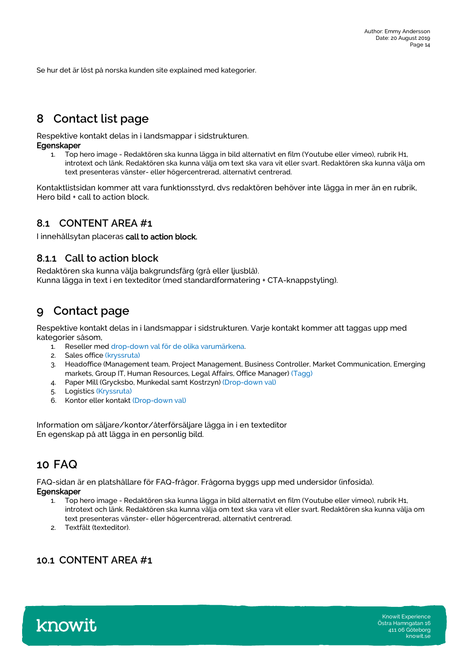Se hur det är löst på norska kunden site explained med kategorier.

# <span id="page-13-0"></span>8 Contact list page

Respektive kontakt delas in i landsmappar i sidstrukturen.

#### Egenskaper

1. Top hero image - Redaktören ska kunna lägga in bild alternativt en film (Youtube eller vimeo), rubrik H1, introtext och länk. Redaktören ska kunna välja om text ska vara vit eller svart. Redaktören ska kunna välja om text presenteras vänster- eller högercentrerad, alternativt centrerad.

Kontaktlistsidan kommer att vara funktionsstyrd, dvs redaktören behöver inte lägga in mer än en rubrik, Hero bild + call to action block.

# <span id="page-13-1"></span>8.1 CONTENT AREA #1

I innehållsytan placeras call to action block.

# <span id="page-13-2"></span>8.1.1 Call to action block

Redaktören ska kunna välja bakgrundsfärg (grå eller ljusblå). Kunna lägga in text i en texteditor (med standardformatering + CTA-knappstyling).

# <span id="page-13-3"></span>9 Contact page

Respektive kontakt delas in i landsmappar i sidstrukturen. Varje kontakt kommer att taggas upp med kategorier såsom,

- 1. Reseller med drop-down val för de olika varumärkena.
- 2. Sales office (kryssruta)
- 3. Headoffice (Management team, Project Management, Business Controller, Market Communication, Emerging markets, Group IT, Human Resources, Legal Affairs, Office Manager) (Tagg)
- 4. Paper Mill (Grycksbo, Munkedal samt Kostrzyn) (Drop-down val)
- 5. Logistics (Kryssruta)
- 6. Kontor eller kontakt (Drop-down val)

Information om säljare/kontor/återförsäljare lägga in i en texteditor En egenskap på att lägga in en personlig bild.

# <span id="page-13-4"></span>10 FAQ

FAQ-sidan är en platshållare för FAQ-frågor. Frågorna byggs upp med undersidor (infosida). Egenskaper

- 1. Top hero image Redaktören ska kunna lägga in bild alternativt en film (Youtube eller vimeo), rubrik H1, introtext och länk. Redaktören ska kunna välja om text ska vara vit eller svart. Redaktören ska kunna välja om text presenteras vänster- eller högercentrerad, alternativt centrerad.
- 2. Textfält (texteditor).

# <span id="page-13-5"></span>10.1 CONTENT AREA #1

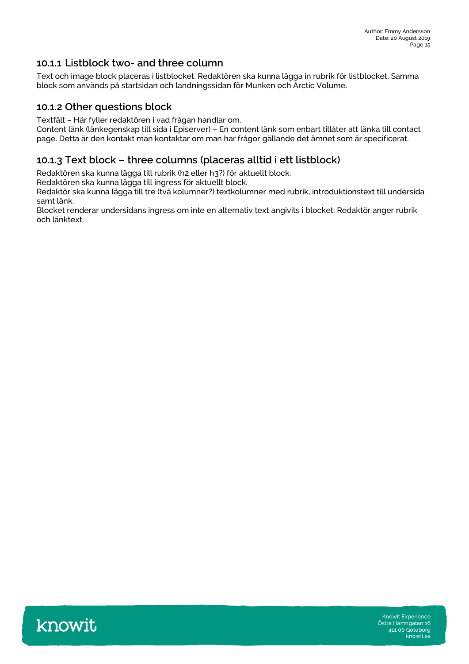# <span id="page-14-0"></span>10.1.1 Listblock two- and three column

Text och image block placeras i listblocket. Redaktören ska kunna lägga in rubrik för listblocket. Samma block som används på startsidan och landningssidan för Munken och Arctic Volume.

### <span id="page-14-1"></span>10.1.2 Other questions block

Textfält – Här fyller redaktören i vad frågan handlar om.

Content länk (länkegenskap till sida i Episerver) – En content länk som enbart tillåter att länka till contact page. Detta är den kontakt man kontaktar om man har frågor gällande det ämnet som är specificerat.

### <span id="page-14-2"></span>10.1.3 Text block – three columns (placeras alltid i ett listblock)

Redaktören ska kunna lägga till rubrik (h2 eller h3?) för aktuellt block.

Redaktören ska kunna lägga till ingress för aktuellt block.

Redaktör ska kunna lägga till tre (två kolumner?) textkolumner med rubrik, introduktionstext till undersida samt länk.

Blocket renderar undersidans ingress om inte en alternativ text angivits i blocket. Redaktör anger rubrik och länktext.



Knowit Experience Östra Hamngatan 16 411 06 Göteborg knowit.se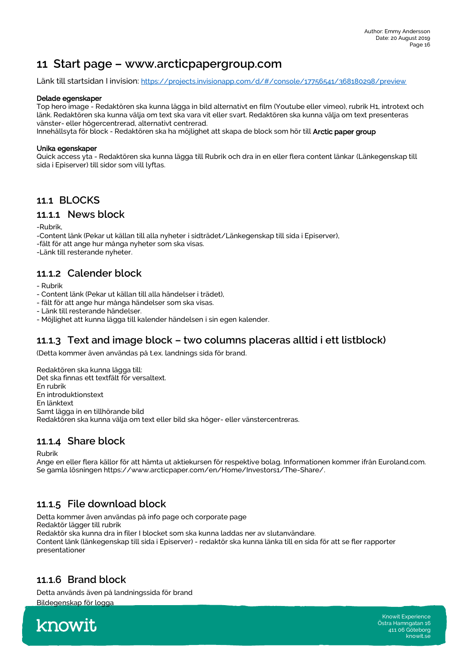# <span id="page-15-0"></span>11 Start page – www.arcticpapergroup.com

Länk till startsidan I invision: <https://projects.invisionapp.com/d/#/console/17756541/368180298/preview>

#### Delade egenskaper

Top hero image - Redaktören ska kunna lägga in bild alternativt en film (Youtube eller vimeo), rubrik H1, introtext och länk. Redaktören ska kunna välja om text ska vara vit eller svart. Redaktören ska kunna välja om text presenteras vänster- eller högercentrerad, alternativt centrerad.

Innehållsyta för block - Redaktören ska ha möjlighet att skapa de block som hör till Arctic paper group

#### Unika egenskaper

Quick access yta - Redaktören ska kunna lägga till Rubrik och dra in en eller flera content länkar (Länkegenskap till sida i Episerver) till sidor som vill lyftas.

### <span id="page-15-1"></span>11.1 BLOCKS

### <span id="page-15-2"></span>11.1.1 News block

-Rubrik,

-Content länk (Pekar ut källan till alla nyheter i sidträdet/Länkegenskap till sida i Episerver),

-fält för att ange hur många nyheter som ska visas.

-Länk till resterande nyheter.

### <span id="page-15-3"></span>11.1.2 Calender block

- Rubrik

- Content länk (Pekar ut källan till alla händelser i trädet),
- fält för att ange hur många händelser som ska visas.
- Länk till resterande händelser.
- Möjlighet att kunna lägga till kalender händelsen i sin egen kalender.

# <span id="page-15-4"></span>11.1.3 Text and image block – two columns placeras alltid i ett listblock)

(Detta kommer även användas på t.ex. landnings sida för brand.

Redaktören ska kunna lägga till: Det ska finnas ett textfält för versaltext. En rubrik En introduktionstext En länktext Samt lägga in en tillhörande bild Redaktören ska kunna välja om text eller bild ska höger- eller vänstercentreras.

### <span id="page-15-5"></span>11.1.4 Share block

Rubrik

Ange en eller flera källor för att hämta ut aktiekursen för respektive bolag. Informationen kommer ifrå[n Euroland.com.](http://www.euroland.com/) Se gamla lösningen [https://www.arcticpaper.com/en/Home/Investors1/The-Share/.](https://www.arcticpaper.com/en/Home/Investors1/The-Share/)

### <span id="page-15-6"></span>11.1.5 File download block

Detta kommer även användas på info page och corporate page Redaktör lägger till rubrik Redaktör ska kunna dra in filer I blocket som ska kunna laddas ner av slutanvändare. Content länk (länkegenskap till sida i Episerver) - redaktör ska kunna länka till en sida för att se fler rapporter presentationer

### <span id="page-15-7"></span>11.1.6 Brand block

<span id="page-15-8"></span>Detta används även på landningssida för brand Bildegenskap för logga

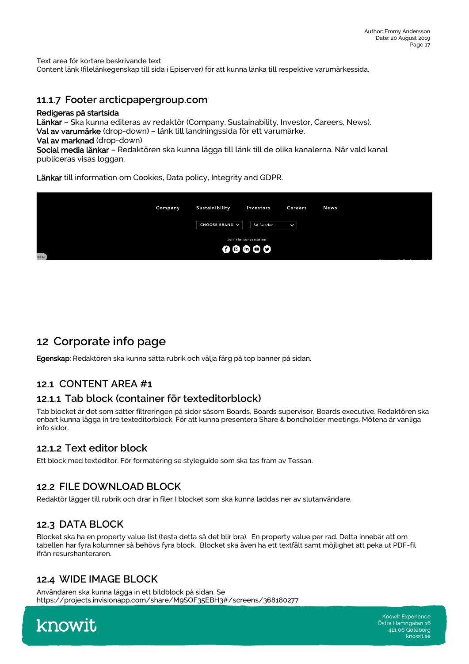Text area för kortare beskrivande text Content länk (filelänkegenskap till sida i Episerver) för att kunna länka till respektive varumärkessida.

### <span id="page-16-0"></span>11.1.7 Footer arcticpapergroup.com

#### Redigeras på startsida

Länkar – Ska kunna editeras av redaktör (Company, Sustainability, Investor, Careers, News). Val av varumärke (drop-down) – länk till landningssida för ett varumärke. Val av marknad (drop-down)

Social media länkar - Redaktören ska kunna lägga till länk till de olika kanalerna. När vald kanal publiceras visas loggan.

Länkar till information om Cookies, Data policy, Integrity and GDPR.

|         | Company | Sustainibility | Investors             | Careers      | News |  |
|---------|---------|----------------|-----------------------|--------------|------|--|
|         |         | CHOOSE BRAND V | SV Sweden             | $\mathbf{v}$ |      |  |
|         |         |                | Join the conversation |              |      |  |
| nVision |         |                | 0 0 0 0 0             |              |      |  |

# <span id="page-16-1"></span>12 Corporate info page

Egenskap: Redaktören ska kunna sätta rubrik och välja färg på top banner på sidan.

# <span id="page-16-2"></span>12.1 CONTENT AREA #1

# <span id="page-16-3"></span>12.1.1 Tab block (container för texteditorblock)

Tab blocket är det som sätter filtreringen på sidor såsom Boards, Boards supervisor, Boards executive. Redaktören ska enbart kunna lägga in tre texteditorblock. För att kunna presentera Share & bondholder meetings. Mötena är vanliga info sidor.

# <span id="page-16-4"></span>12.1.2 Text editor block

Ett block med texteditor. För formatering se styleguide som ska tas fram av Tessan.

# <span id="page-16-5"></span>12.2 FILE DOWNLOAD BLOCK

Redaktör lägger till rubrik och drar in filer I blocket som ska kunna laddas ner av slutanvändare.

# <span id="page-16-6"></span>12.3 DATA BLOCK

Blocket ska ha en property value list (testa detta så det blir bra). En property value per rad. Detta innebär att om tabellen har fyra kolumner så behövs fyra block. Blocket ska även ha ett textfält samt möjlighet att peka ut PDF-fil ifrån resurshanteraren.

# <span id="page-16-7"></span>12.4 WIDE IMAGE BLOCK

Användaren ska kunna lägga in ett bildblock på sidan. Se <https://projects.invisionapp.com/share/M9SOF35EBH3#/screens/368180277>



Knowit Experience Östra Hamngatan 16 411 06 Göteborg knowit.se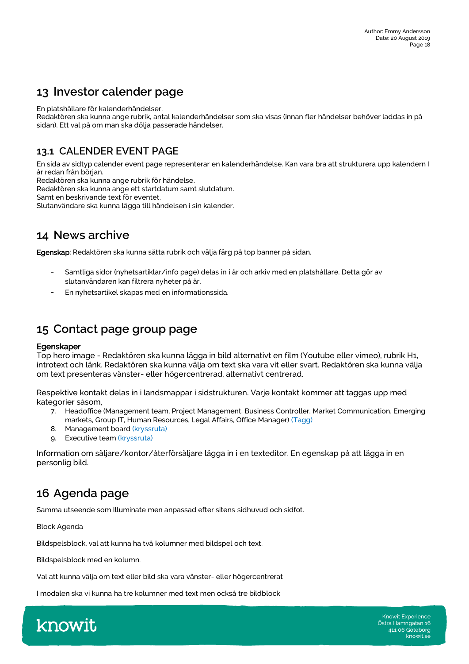# <span id="page-17-0"></span>13 Investor calender page

En platshållare för kalenderhändelser.

Redaktören ska kunna ange rubrik, antal kalenderhändelser som ska visas (innan fler händelser behöver laddas in på sidan). Ett val på om man ska dölja passerade händelser.

# <span id="page-17-1"></span>13.1 CALENDER EVENT PAGE

En sida av sidtyp calender event page representerar en kalenderhändelse. Kan vara bra att strukturera upp kalendern I år redan från början.

Redaktören ska kunna ange rubrik för händelse.

Redaktören ska kunna ange ett startdatum samt slutdatum.

Samt en beskrivande text för eventet.

Slutanvändare ska kunna lägga till händelsen i sin kalender.

# <span id="page-17-2"></span>14 News archive

Egenskap: Redaktören ska kunna sätta rubrik och välja färg på top banner på sidan.

- Samtliga sidor (nyhetsartiklar/info page) delas in i år och arkiv med en platshållare. Detta gör av slutanvändaren kan filtrera nyheter på år.
- En nyhetsartikel skapas med en informationssida.

# <span id="page-17-3"></span>15 Contact page group page

#### Egenskaper

Top hero image - Redaktören ska kunna lägga in bild alternativt en film (Youtube eller vimeo), rubrik H1, introtext och länk. Redaktören ska kunna välja om text ska vara vit eller svart. Redaktören ska kunna välja om text presenteras vänster- eller högercentrerad, alternativt centrerad.

Respektive kontakt delas in i landsmappar i sidstrukturen. Varje kontakt kommer att taggas upp med kategorier såsom,

- 7. Headoffice (Management team, Project Management, Business Controller, Market Communication, Emerging markets, Group IT, Human Resources, Legal Affairs, Office Manager) (Tagg)
- 8. Management board (kryssruta)
- 9. Executive team (kryssruta)

Information om säljare/kontor/återförsäljare lägga in i en texteditor. En egenskap på att lägga in en personlig bild.

# <span id="page-17-4"></span>16 Agenda page

Samma utseende som Illuminate men anpassad efter sitens sidhuvud och sidfot.

Block Agenda

Bildspelsblock, val att kunna ha två kolumner med bildspel och text.

Bildspelsblock med en kolumn.

Val att kunna välja om text eller bild ska vara vänster- eller högercentrerat

I modalen ska vi kunna ha tre kolumner med text men också tre bildblock

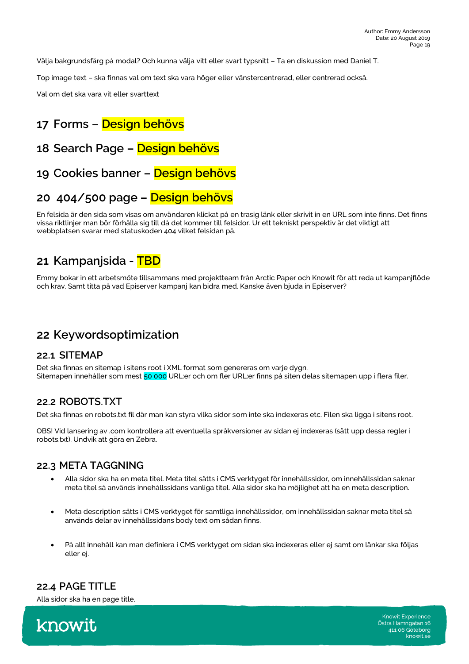Välja bakgrundsfärg på modal? Och kunna välja vitt eller svart typsnitt – Ta en diskussion med Daniel T.

Top image text – ska finnas val om text ska vara höger eller vänstercentrerad, eller centrerad också.

Val om det ska vara vit eller svarttext

# <span id="page-18-0"></span>17 Forms - Design behövs

<span id="page-18-1"></span>18 Search Page – Design behövs

# <span id="page-18-2"></span>19 Cookies banner - Design behövs

# <span id="page-18-3"></span>20 404/500 page – Design behövs

En felsida är den sida som visas om användaren klickat på en trasig länk eller skrivit in en URL som inte finns. Det finns vissa riktlinjer man bör förhålla sig till då det kommer till felsidor. Ur ett tekniskt perspektiv är det viktigt att webbplatsen svarar med statuskoden 404 vilket felsidan på.

# <span id="page-18-4"></span>21 Kampanjsida - TBD

Emmy bokar in ett arbetsmöte tillsammans med projektteam från Arctic Paper och Knowit för att reda ut kampanjflöde och krav. Samt titta på vad Episerver kampanj kan bidra med. Kanske även bjuda in Episerver?

# <span id="page-18-5"></span>22 Keywordsoptimization

### <span id="page-18-6"></span>22.1 SITEMAP

Det ska finnas en sitemap i sitens root i XML format som genereras om varje dygn. Sitemapen innehåller som mest 50 000 URL:er och om fler URL:er finns på siten delas sitemapen upp i flera filer.

### <span id="page-18-7"></span>22.2 ROBOTS.TXT

Det ska finnas en robots.txt fil där man kan styra vilka sidor som inte ska indexeras etc. Filen ska ligga i sitens root.

OBS! Vid lansering av .com kontrollera att eventuella språkversioner av sidan ej indexeras (sätt upp dessa regler i robots.txt). Undvik att göra en Zebra.

### <span id="page-18-8"></span>22.3 META TAGGNING

- Alla sidor ska ha en meta titel. Meta titel sätts i CMS verktyget för innehållssidor, om innehållssidan saknar meta titel så används innehållssidans vanliga titel. Alla sidor ska ha möjlighet att ha en meta description.
- Meta description sätts i CMS verktyget för samtliga innehållssidor, om innehållssidan saknar meta titel så används delar av innehållssidans body text om sådan finns.
- På allt innehåll kan man definiera i CMS verktyget om sidan ska indexeras eller ej samt om länkar ska följas eller ej.

<span id="page-18-9"></span>22.4 PAGE TITLE

Alla sidor ska ha en page title.

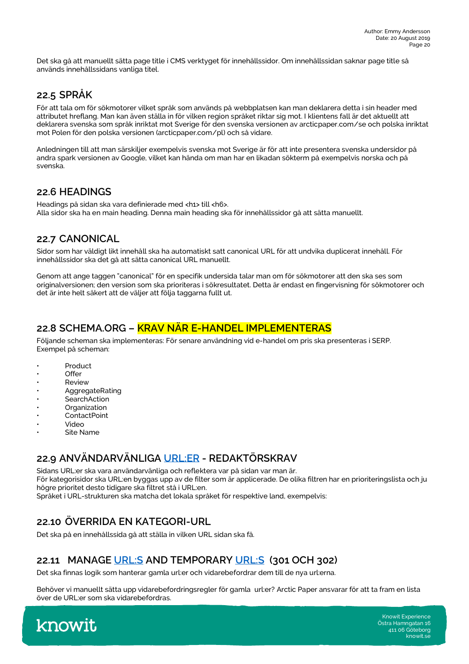Det ska gå att manuellt sätta page title i CMS verktyget för innehållssidor. Om innehållssidan saknar page title så används innehållssidans vanliga titel.

# <span id="page-19-0"></span>22.5 SPRÅK

För att tala om för sökmotorer vilket språk som används på webbplatsen kan man deklarera detta i sin header med attributet hreflang. Man kan även ställa in för vilken region språket riktar sig mot. I klientens fall är det aktuellt att deklarera svenska som språk inriktat mot Sverige för den svenska versionen av arcticpaper.com/se och polska inriktat mot Polen för den polska versionen (arcticpaper.com/pl) och så vidare.

Anledningen till att man särskiljer exempelvis svenska mot Sverige är för att inte presentera svenska undersidor på andra spark versionen av Google, vilket kan hända om man har en likadan sökterm på exempelvis norska och på svenska.

# <span id="page-19-1"></span>22.6 HEADINGS

Headings på sidan ska vara definierade med <h1> till <h6>. Alla sidor ska ha en main heading. Denna main heading ska för innehållssidor gå att sätta manuellt.

### <span id="page-19-2"></span>22.7 CANONICAL

Sidor som har väldigt likt innehåll ska ha automatiskt satt canonical URL för att undvika duplicerat innehåll. För innehållssidor ska det gå att sätta canonical URL manuellt.

Genom att ange taggen "canonical" för en specifik undersida talar man om för sökmotorer att den ska ses som originalversionen; den version som ska prioriteras i sökresultatet. Detta är endast en fingervisning för sökmotorer och det är inte helt säkert att de väljer att följa taggarna fullt ut.

# <span id="page-19-3"></span>22.8 SCHEMA.ORG – KRAV NÄR E-HANDEL IMPLEMENTERAS

Följande scheman ska implementeras: För senare användning vid e-handel om pris ska presenteras i SERP. Exempel på scheman:

- **Product**
- Offer
- **Review**
- AggregateRating
- SearchAction
- **Organization**
- ContactPoint
- Video
- Site Name

# <span id="page-19-4"></span>22.9 ANVÄNDARVÄNLIGA [URL:ER](er) - REDAKTÖRSKRAV

Sidan[s URL:er](file:///C:/Users/ngcor/AppData/Local/Microsoft/Windows/Temporary%20Internet%20Files/Content.Outlook/1OKFUH5L/er) ska vara användarvänliga och reflektera var på sidan var man är. För kategorisidor ska [URL:en](file:///C:/Users/ngcor/AppData/Local/Microsoft/Windows/Temporary%20Internet%20Files/Content.Outlook/1OKFUH5L/en) byggas upp av de filter som är applicerade. De olika filtren har en prioriteringslista och ju högre prioritet desto tidigare ska filtret stå [i URL:en.](file:///C:/Users/ngcor/AppData/Local/Microsoft/Windows/Temporary%20Internet%20Files/Content.Outlook/1OKFUH5L/en)

Språket i URL-strukturen ska matcha det lokala språket för respektive land, exempelvis:

# <span id="page-19-5"></span>22.10 ÖVERRIDA EN KATEGORI-URL

Det ska på en innehållssida gå att ställa in vilken URL sidan ska få.

# <span id="page-19-6"></span>22.11 MANAGE [URL:S](s) AND TEMPORARY [URL:S](s) (301 OCH 302)

Det ska finnas logik som hanterar gamla [url:er](/Users/emelievonkrusenstjerna/Desktop/er) och vidarebefordrar dem till de ny[a url:erna.](/Users/emelievonkrusenstjerna/Desktop/erna)

Behöver vi manuellt sätta upp vidarebefordringsregler för gamla [url:er?](/Users/emelievonkrusenstjerna/Desktop/er) Arctic Paper ansvarar för att ta fram en lista över de [URL:er](file:///C:/Users/ngcor/AppData/Local/Microsoft/Windows/Temporary%20Internet%20Files/Content.Outlook/1OKFUH5L/er) som ska vidarebefordras.

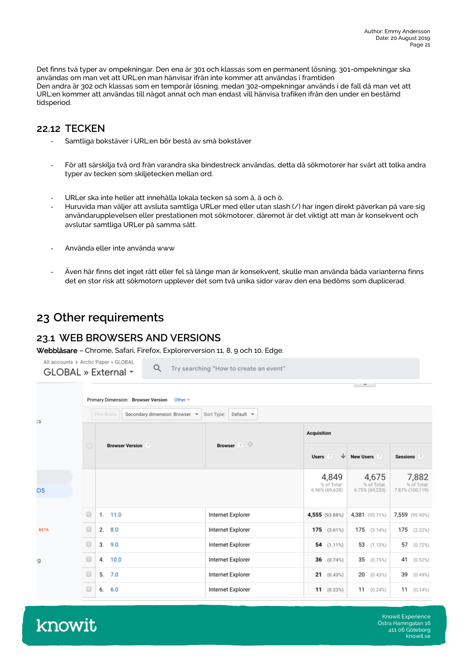Det finns två typer av ompekningar. Den ena är 301 och klassas som en permanent lösning. 301-ompekningar ska användas om man vet att URL:en man hänvisar ifrån inte kommer att användas i framtiden Den andra är 302 och klassas som en temporär lösning. medan 302-ompekningar används i de fall då man vet att URL:en kommer att användas till något annat och man endast vill hänvisa trafiken ifrån den under en bestämd tidsperiod.

### 22.12 TECKEN

- Samtliga bokstäver i URL:en bör bestå av små bokstäver
- För att särskilja två ord från varandra ska bindestreck användas, detta då sökmotorer har svårt att tolka andra typer av tecken som skiljetecken mellan ord.
- URLer ska inte heller att innehålla lokala tecken så som å, ä och ö.
- Huruvida man väljer att avsluta samtliga URLer med eller utan slash (/) har ingen direkt påverkan på vare sig användarupplevelsen eller prestationen mot sökmotorer, däremot är det viktigt att man är konsekvent och avslutar samtliga URLer på samma sätt.
- Använda eller inte använda www
- Även här finns det inget rätt eller fel så länge man är konsekvent, skulle man använda båda varianterna finns det en stor risk att sökmotorn upplever det som två unika sidor varav den ena bedöms som duplicerad.

# <span id="page-20-0"></span>23 Other requirements

### <span id="page-20-1"></span>23.1 WEB BROWSERS AND VERSIONS

Webbläsare – Chrome, Safari, Firefox, Explorerversion 11, 8, 9 och 10, Edge.

|             |                      | All accounts > Arctic Paper » GLOBAL<br>Q<br>GLOBAL » External ▼ | Try searching "How to create an event" |                                        |                                        |                                         |
|-------------|----------------------|------------------------------------------------------------------|----------------------------------------|----------------------------------------|----------------------------------------|-----------------------------------------|
|             |                      | Primary Dimension: Browser Version<br>Other $=$                  |                                        |                                        | $-7$                                   |                                         |
| CS.         |                      | Secondary dimension: Browser -<br>Plot Rows                      | Default $-$<br>Sort Type:              |                                        |                                        |                                         |
|             |                      |                                                                  |                                        | <b>Acquisition</b>                     |                                        |                                         |
|             | $\Box$               | <b>Browser Version</b> ?                                         | Browser ?                              | (2)<br><b>Users</b><br>⇓               | <b>New Users</b><br>(2)                | Sessions ?                              |
| OS          |                      |                                                                  |                                        | 4,849<br>% of Total:<br>6.96% (69,628) | 4,675<br>% of Total:<br>6.75% (69,233) | 7,882<br>% of Total:<br>7.87% (100,119) |
|             | $\Box$               | 1.11.0                                                           | Internet Explorer                      | 4,555 (93.88%)                         | 4,381 (93.71%)                         | 7,559 (95.90%)                          |
| <b>BETA</b> | $\Box$               | 2.<br>8.0                                                        | <b>Internet Explorer</b>               | 175 $(3.61%)$                          | 175 (3.74%)                            | $175$ $(2.22\%)$                        |
|             | $\qquad \qquad \Box$ | 3.<br>9.0                                                        | Internet Explorer                      | 54 $(1.11\%)$                          | 53 $(1.13%)$                           | 57<br>(0.72%)                           |
| ıg          | $\Box$               | 4. 10.0                                                          | Internet Explorer                      | 36 $(0.74%)$                           | 35 $(0.75%)$                           | 41<br>(0.52%)                           |
|             | $\Box$               | 5.7.0                                                            | Internet Explorer                      | <b>21</b> $(0.43%)$                    | $20$ $(0.43%)$                         | 39<br>(0.49%)                           |
|             | $\Box$               | 6. 6.0                                                           | Internet Explorer                      | 11 $(0.23%)$                           | 11 $(0.24\%)$                          | 11 $(0.14\%)$                           |

knowit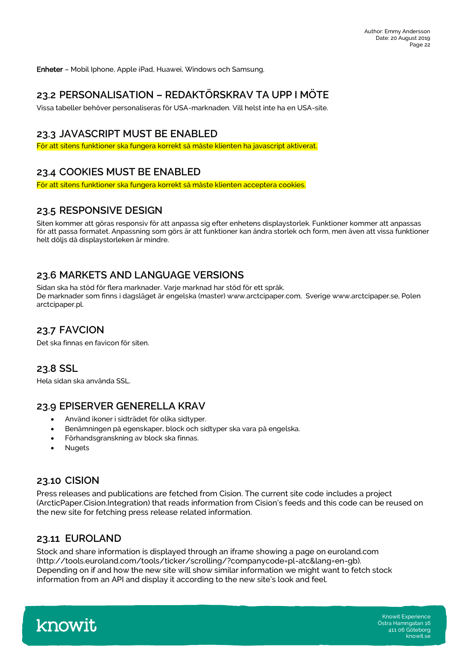Enheter – Mobil Iphone, Apple iPad, Huawei, Windows och Samsung.

# <span id="page-21-0"></span>23.2 PERSONALISATION – REDAKTÖRSKRAV TA UPP I MÖTE

Vissa tabeller behöver personaliseras för USA-marknaden. Vill helst inte ha en USA-site.

# <span id="page-21-1"></span>23.3 JAVASCRIPT MUST BE ENABLED

För att sitens funktioner ska fungera korrekt så måste klienten ha javascript aktiverat.

# <span id="page-21-2"></span>23.4 COOKIES MUST BE ENABLED

För att sitens funktioner ska fungera korrekt så måste klienten acceptera cookies.

# <span id="page-21-3"></span>23.5 RESPONSIVE DESIGN

Siten kommer att göras responsiv för att anpassa sig efter enhetens displaystorlek. Funktioner kommer att anpassas för att passa formatet. Anpassning som görs är att funktioner kan ändra storlek och form, men även att vissa funktioner helt döljs då displaystorleken är mindre.

# <span id="page-21-4"></span>23.6 MARKETS AND LANGUAGE VERSIONS

Sidan ska ha stöd för flera marknader. Varje marknad har stöd för ett språk. De marknader som finns i dagsläget är engelska (master) www.arctcipaper.com, Sverige www.arctcipaper.se, Polen arctcipaper.pl.

### <span id="page-21-5"></span>23.7 FAVCION

Det ska finnas en favicon för siten.

### <span id="page-21-6"></span>23.8 SSL

Hela sidan ska använda SSL.

### <span id="page-21-7"></span>23.9 EPISERVER GENERELLA KRAV

- Använd ikoner i sidträdet för olika sidtyper.
- Benämningen på egenskaper, block och sidtyper ska vara på engelska.
- Förhandsgranskning av block ska finnas.
- Nugets

### <span id="page-21-8"></span>23.10 CISION

Press releases and publications are fetched from Cision. The current site code includes a project (ArcticPaper.Cision.Integration) that reads information from Cision's feeds and this code can be reused on the new site for fetching press release related information.

### <span id="page-21-9"></span>23.11 EUROLAND

Stock and share information is displayed through an iframe showing a page on euroland.com (http://tools.euroland.com/tools/ticker/scrolling/?companycode=pl-atc&lang=en-gb). Depending on if and how the new site will show similar information we might want to fetch stock information from an API and display it according to the new site's look and feel.